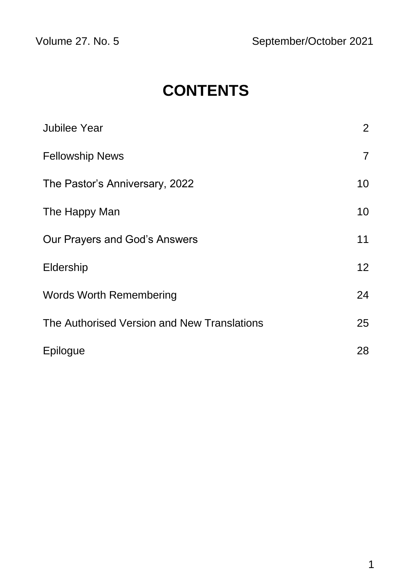# **CONTENTS**

| Jubilee Year                                | $\overline{2}$ |
|---------------------------------------------|----------------|
| <b>Fellowship News</b>                      | $\overline{7}$ |
| The Pastor's Anniversary, 2022              | 10             |
| The Happy Man                               | 10             |
| Our Prayers and God's Answers               | 11             |
| Eldership                                   | 12             |
| <b>Words Worth Remembering</b>              | 24             |
| The Authorised Version and New Translations | 25             |
| Epilogue                                    | 28             |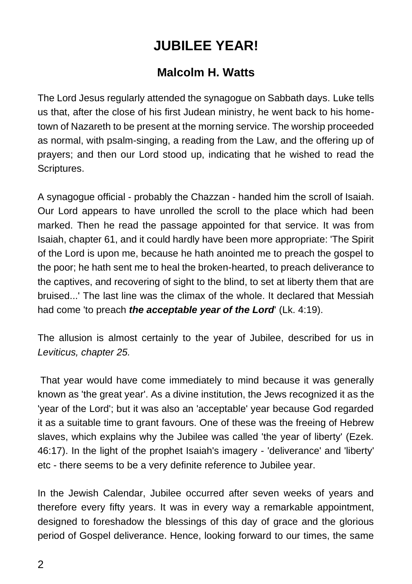## **JUBILEE YEAR!**

#### **Malcolm H. Watts**

The Lord Jesus regularly attended the synagogue on Sabbath days. Luke tells us that, after the close of his first Judean ministry, he went back to his hometown of Nazareth to be present at the morning service. The worship proceeded as normal, with psalm-singing, a reading from the Law, and the offering up of prayers; and then our Lord stood up, indicating that he wished to read the Scriptures.

A synagogue official - probably the Chazzan - handed him the scroll of Isaiah. Our Lord appears to have unrolled the scroll to the place which had been marked. Then he read the passage appointed for that service. It was from Isaiah, chapter 61, and it could hardly have been more appropriate: 'The Spirit of the Lord is upon me, because he hath anointed me to preach the gospel to the poor; he hath sent me to heal the broken-hearted, to preach deliverance to the captives, and recovering of sight to the blind, to set at liberty them that are bruised...' The last line was the climax of the whole. It declared that Messiah had come 'to preach *the acceptable year of the Lord*' (Lk. 4:19).

The allusion is almost certainly to the year of Jubilee, described for us in *Leviticus, chapter 25.*

That year would have come immediately to mind because it was generally known as 'the great year'. As a divine institution, the Jews recognized it as the 'year of the Lord'; but it was also an 'acceptable' year because God regarded it as a suitable time to grant favours. One of these was the freeing of Hebrew slaves, which explains why the Jubilee was called 'the year of liberty' (Ezek. 46:17). In the light of the prophet Isaiah's imagery - 'deliverance' and 'liberty' etc - there seems to be a very definite reference to Jubilee year.

In the Jewish Calendar, Jubilee occurred after seven weeks of years and therefore every fifty years. It was in every way a remarkable appointment, designed to foreshadow the blessings of this day of grace and the glorious period of Gospel deliverance. Hence, looking forward to our times, the same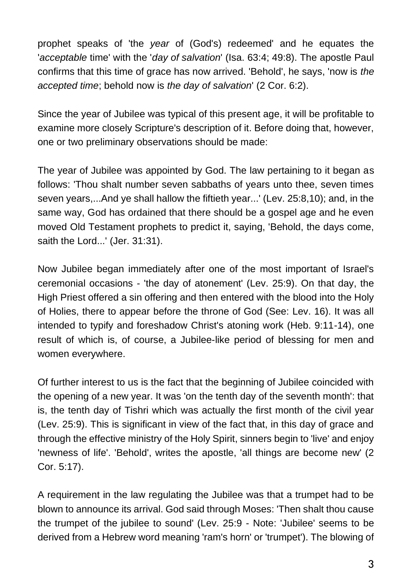prophet speaks of 'the *year* of (God's) redeemed' and he equates the '*acceptable* time' with the '*day of salvation*' (Isa. 63:4; 49:8). The apostle Paul confirms that this time of grace has now arrived. 'Behold', he says, 'now is *the accepted time*; behold now is *the day of salvation*' (2 Cor. 6:2).

Since the year of Jubilee was typical of this present age, it will be profitable to examine more closely Scripture's description of it. Before doing that, however, one or two preliminary observations should be made:

The year of Jubilee was appointed by God. The law pertaining to it began as follows: 'Thou shalt number seven sabbaths of years unto thee, seven times seven years,...And ye shall hallow the fiftieth year...' (Lev. 25:8,10); and, in the same way, God has ordained that there should be a gospel age and he even moved Old Testament prophets to predict it, saying, 'Behold, the days come, saith the Lord...' (Jer. 31:31).

Now Jubilee began immediately after one of the most important of Israel's ceremonial occasions - 'the day of atonement' (Lev. 25:9). On that day, the High Priest offered a sin offering and then entered with the blood into the Holy of Holies, there to appear before the throne of God (See: Lev. 16). It was all intended to typify and foreshadow Christ's atoning work (Heb. 9:11-14), one result of which is, of course, a Jubilee-like period of blessing for men and women everywhere.

Of further interest to us is the fact that the beginning of Jubilee coincided with the opening of a new year. It was 'on the tenth day of the seventh month': that is, the tenth day of Tishri which was actually the first month of the civil year (Lev. 25:9). This is significant in view of the fact that, in this day of grace and through the effective ministry of the Holy Spirit, sinners begin to 'live' and enjoy 'newness of life'. 'Behold', writes the apostle, 'all things are become new' (2 Cor. 5:17).

A requirement in the law regulating the Jubilee was that a trumpet had to be blown to announce its arrival. God said through Moses: 'Then shalt thou cause the trumpet of the jubilee to sound' (Lev. 25:9 - Note: 'Jubilee' seems to be derived from a Hebrew word meaning 'ram's horn' or 'trumpet'). The blowing of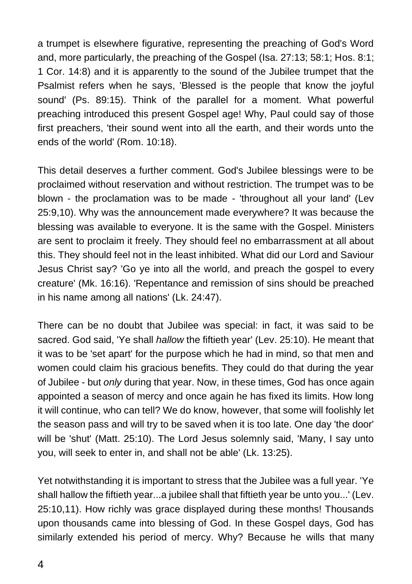a trumpet is elsewhere figurative, representing the preaching of God's Word and, more particularly, the preaching of the Gospel (Isa. 27:13; 58:1; Hos. 8:1; 1 Cor. 14:8) and it is apparently to the sound of the Jubilee trumpet that the Psalmist refers when he says, 'Blessed is the people that know the joyful sound' (Ps. 89:15). Think of the parallel for a moment. What powerful preaching introduced this present Gospel age! Why, Paul could say of those first preachers, 'their sound went into all the earth, and their words unto the ends of the world' (Rom. 10:18).

This detail deserves a further comment. God's Jubilee blessings were to be proclaimed without reservation and without restriction. The trumpet was to be blown - the proclamation was to be made - 'throughout all your land' (Lev 25:9,10). Why was the announcement made everywhere? It was because the blessing was available to everyone. It is the same with the Gospel. Ministers are sent to proclaim it freely. They should feel no embarrassment at all about this. They should feel not in the least inhibited. What did our Lord and Saviour Jesus Christ say? 'Go ye into all the world, and preach the gospel to every creature' (Mk. 16:16). 'Repentance and remission of sins should be preached in his name among all nations' (Lk. 24:47).

There can be no doubt that Jubilee was special: in fact, it was said to be sacred. God said, 'Ye shall *hallow* the fiftieth year' (Lev. 25:10). He meant that it was to be 'set apart' for the purpose which he had in mind, so that men and women could claim his gracious benefits. They could do that during the year of Jubilee - but *only* during that year. Now, in these times, God has once again appointed a season of mercy and once again he has fixed its limits. How long it will continue, who can tell? We do know, however, that some will foolishly let the season pass and will try to be saved when it is too late. One day 'the door' will be 'shut' (Matt. 25:10). The Lord Jesus solemnly said, 'Many, I say unto you, will seek to enter in, and shall not be able' (Lk. 13:25).

Yet notwithstanding it is important to stress that the Jubilee was a full year. 'Ye shall hallow the fiftieth year...a jubilee shall that fiftieth year be unto you...' (Lev. 25:10,11). How richly was grace displayed during these months! Thousands upon thousands came into blessing of God. In these Gospel days, God has similarly extended his period of mercy. Why? Because he wills that many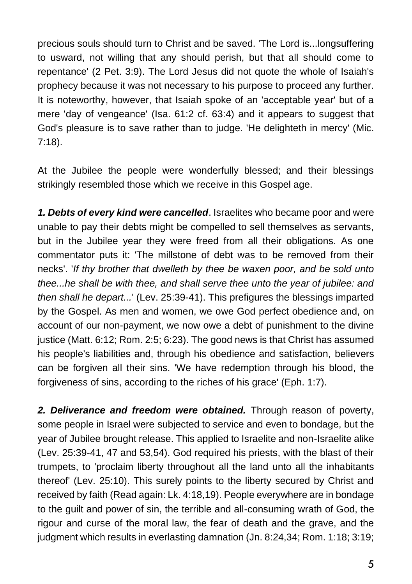precious souls should turn to Christ and be saved. 'The Lord is...longsuffering to usward, not willing that any should perish, but that all should come to repentance' (2 Pet. 3:9). The Lord Jesus did not quote the whole of Isaiah's prophecy because it was not necessary to his purpose to proceed any further. It is noteworthy, however, that Isaiah spoke of an 'acceptable year' but of a mere 'day of vengeance' (Isa. 61:2 cf. 63:4) and it appears to suggest that God's pleasure is to save rather than to judge. 'He delighteth in mercy' (Mic. 7:18).

At the Jubilee the people were wonderfully blessed; and their blessings strikingly resembled those which we receive in this Gospel age.

*1. Debts of every kind were cancelled*. Israelites who became poor and were unable to pay their debts might be compelled to sell themselves as servants, but in the Jubilee year they were freed from all their obligations. As one commentator puts it: 'The millstone of debt was to be removed from their necks'. '*If thy brother that dwelleth by thee be waxen poor, and be sold unto thee...he shall be with thee, and shall serve thee unto the year of jubilee: and then shall he depart...*' (Lev. 25:39-41). This prefigures the blessings imparted by the Gospel. As men and women, we owe God perfect obedience and, on account of our non-payment, we now owe a debt of punishment to the divine justice (Matt. 6:12; Rom. 2:5; 6:23). The good news is that Christ has assumed his people's liabilities and, through his obedience and satisfaction, believers can be forgiven all their sins. 'We have redemption through his blood, the forgiveness of sins, according to the riches of his grace' (Eph. 1:7).

*2. Deliverance and freedom were obtained.* Through reason of poverty, some people in Israel were subjected to service and even to bondage, but the year of Jubilee brought release. This applied to Israelite and non-Israelite alike (Lev. 25:39-41, 47 and 53,54). God required his priests, with the blast of their trumpets, to 'proclaim liberty throughout all the land unto all the inhabitants thereof' (Lev. 25:10). This surely points to the liberty secured by Christ and received by faith (Read again: Lk. 4:18,19). People everywhere are in bondage to the guilt and power of sin, the terrible and all-consuming wrath of God, the rigour and curse of the moral law, the fear of death and the grave, and the judgment which results in everlasting damnation (Jn. 8:24,34; Rom. 1:18; 3:19;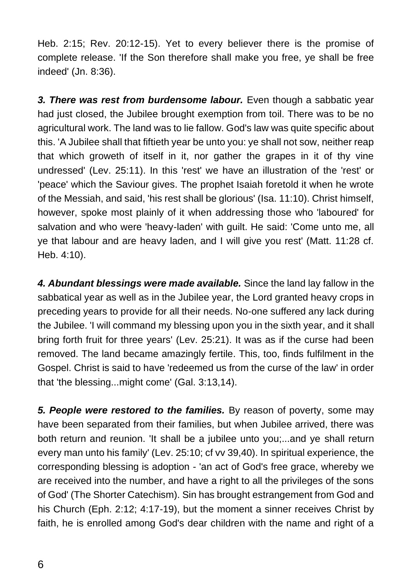Heb. 2:15; Rev. 20:12-15). Yet to every believer there is the promise of complete release. 'If the Son therefore shall make you free, ye shall be free indeed' (Jn. 8:36).

*3. There was rest from burdensome labour.* Even though a sabbatic year had just closed, the Jubilee brought exemption from toil. There was to be no agricultural work. The land was to lie fallow. God's law was quite specific about this. 'A Jubilee shall that fiftieth year be unto you: ye shall not sow, neither reap that which groweth of itself in it, nor gather the grapes in it of thy vine undressed' (Lev. 25:11). In this 'rest' we have an illustration of the 'rest' or 'peace' which the Saviour gives. The prophet Isaiah foretold it when he wrote of the Messiah, and said, 'his rest shall be glorious' (Isa. 11:10). Christ himself, however, spoke most plainly of it when addressing those who 'laboured' for salvation and who were 'heavy-laden' with guilt. He said: 'Come unto me, all ye that labour and are heavy laden, and I will give you rest' (Matt. 11:28 cf. Heb. 4:10).

*4. Abundant blessings were made available.* Since the land lay fallow in the sabbatical year as well as in the Jubilee year, the Lord granted heavy crops in preceding years to provide for all their needs. No-one suffered any lack during the Jubilee. 'I will command my blessing upon you in the sixth year, and it shall bring forth fruit for three years' (Lev. 25:21). It was as if the curse had been removed. The land became amazingly fertile. This, too, finds fulfilment in the Gospel. Christ is said to have 'redeemed us from the curse of the law' in order that 'the blessing...might come' (Gal. 3:13,14).

*5. People were restored to the families.* By reason of poverty, some may have been separated from their families, but when Jubilee arrived, there was both return and reunion. 'It shall be a jubilee unto you;...and ye shall return every man unto his family' (Lev. 25:10; cf vv 39,40). In spiritual experience, the corresponding blessing is adoption - 'an act of God's free grace, whereby we are received into the number, and have a right to all the privileges of the sons of God' (The Shorter Catechism). Sin has brought estrangement from God and his Church (Eph. 2:12; 4:17-19), but the moment a sinner receives Christ by faith, he is enrolled among God's dear children with the name and right of a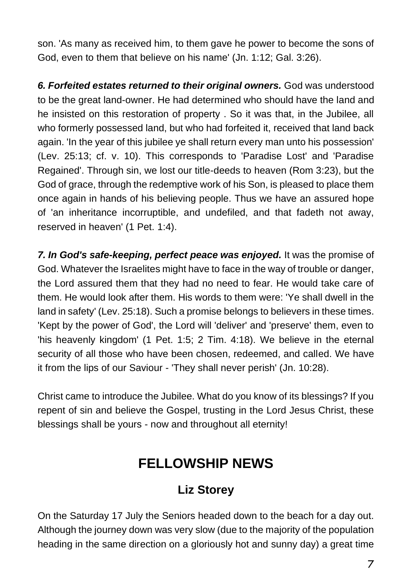son. 'As many as received him, to them gave he power to become the sons of God, even to them that believe on his name' (Jn. 1:12; Gal. 3:26).

*6. Forfeited estates returned to their original owners.* God was understood to be the great land-owner. He had determined who should have the land and he insisted on this restoration of property . So it was that, in the Jubilee, all who formerly possessed land, but who had forfeited it, received that land back again. 'In the year of this jubilee ye shall return every man unto his possession' (Lev. 25:13; cf. v. 10). This corresponds to 'Paradise Lost' and 'Paradise Regained'. Through sin, we lost our title-deeds to heaven (Rom 3:23), but the God of grace, through the redemptive work of his Son, is pleased to place them once again in hands of his believing people. Thus we have an assured hope of 'an inheritance incorruptible, and undefiled, and that fadeth not away, reserved in heaven' (1 Pet. 1:4).

*7. In God's safe-keeping, perfect peace was enjoyed.* It was the promise of God. Whatever the Israelites might have to face in the way of trouble or danger, the Lord assured them that they had no need to fear. He would take care of them. He would look after them. His words to them were: 'Ye shall dwell in the land in safety' (Lev. 25:18). Such a promise belongs to believers in these times. 'Kept by the power of God', the Lord will 'deliver' and 'preserve' them, even to 'his heavenly kingdom' (1 Pet. 1:5; 2 Tim. 4:18). We believe in the eternal security of all those who have been chosen, redeemed, and called. We have it from the lips of our Saviour - 'They shall never perish' (Jn. 10:28).

Christ came to introduce the Jubilee. What do you know of its blessings? If you repent of sin and believe the Gospel, trusting in the Lord Jesus Christ, these blessings shall be yours - now and throughout all eternity!

### **FELLOWSHIP NEWS**

### **Liz Storey**

On the Saturday 17 July the Seniors headed down to the beach for a day out. Although the journey down was very slow (due to the majority of the population heading in the same direction on a gloriously hot and sunny day) a great time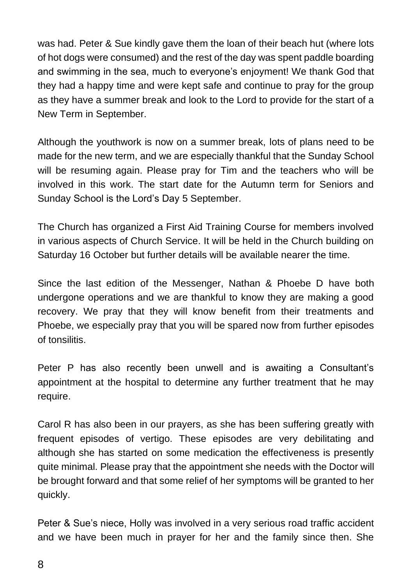was had. Peter & Sue kindly gave them the loan of their beach hut (where lots of hot dogs were consumed) and the rest of the day was spent paddle boarding and swimming in the sea, much to everyone's enjoyment! We thank God that they had a happy time and were kept safe and continue to pray for the group as they have a summer break and look to the Lord to provide for the start of a New Term in September.

Although the youthwork is now on a summer break, lots of plans need to be made for the new term, and we are especially thankful that the Sunday School will be resuming again. Please pray for Tim and the teachers who will be involved in this work. The start date for the Autumn term for Seniors and Sunday School is the Lord's Day 5 September.

The Church has organized a First Aid Training Course for members involved in various aspects of Church Service. It will be held in the Church building on Saturday 16 October but further details will be available nearer the time.

Since the last edition of the Messenger, Nathan & Phoebe D have both undergone operations and we are thankful to know they are making a good recovery. We pray that they will know benefit from their treatments and Phoebe, we especially pray that you will be spared now from further episodes of tonsilitis.

Peter P has also recently been unwell and is awaiting a Consultant's appointment at the hospital to determine any further treatment that he may require.

Carol R has also been in our prayers, as she has been suffering greatly with frequent episodes of vertigo. These episodes are very debilitating and although she has started on some medication the effectiveness is presently quite minimal. Please pray that the appointment she needs with the Doctor will be brought forward and that some relief of her symptoms will be granted to her quickly.

Peter & Sue's niece, Holly was involved in a very serious road traffic accident and we have been much in prayer for her and the family since then. She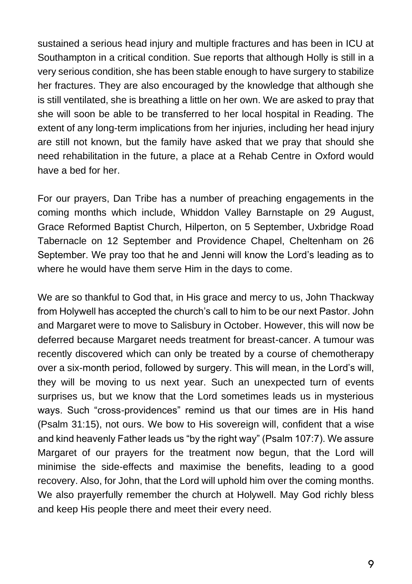sustained a serious head injury and multiple fractures and has been in ICU at Southampton in a critical condition. Sue reports that although Holly is still in a very serious condition, she has been stable enough to have surgery to stabilize her fractures. They are also encouraged by the knowledge that although she is still ventilated, she is breathing a little on her own. We are asked to pray that she will soon be able to be transferred to her local hospital in Reading. The extent of any long-term implications from her injuries, including her head injury are still not known, but the family have asked that we pray that should she need rehabilitation in the future, a place at a Rehab Centre in Oxford would have a bed for her.

For our prayers, Dan Tribe has a number of preaching engagements in the coming months which include, Whiddon Valley Barnstaple on 29 August, Grace Reformed Baptist Church, Hilperton, on 5 September, Uxbridge Road Tabernacle on 12 September and Providence Chapel, Cheltenham on 26 September. We pray too that he and Jenni will know the Lord's leading as to where he would have them serve Him in the days to come.

We are so thankful to God that, in His grace and mercy to us, John Thackway from Holywell has accepted the church's call to him to be our next Pastor. John and Margaret were to move to Salisbury in October. However, this will now be deferred because Margaret needs treatment for breast-cancer. A tumour was recently discovered which can only be treated by a course of chemotherapy over a six-month period, followed by surgery. This will mean, in the Lord's will, they will be moving to us next year. Such an unexpected turn of events surprises us, but we know that the Lord sometimes leads us in mysterious ways. Such "cross-providences" remind us that our times are in His hand (Psalm 31:15), not ours. We bow to His sovereign will, confident that a wise and kind heavenly Father leads us "by the right way" (Psalm 107:7). We assure Margaret of our prayers for the treatment now begun, that the Lord will minimise the side-effects and maximise the benefits, leading to a good recovery. Also, for John, that the Lord will uphold him over the coming months. We also prayerfully remember the church at Holywell. May God richly bless and keep His people there and meet their every need.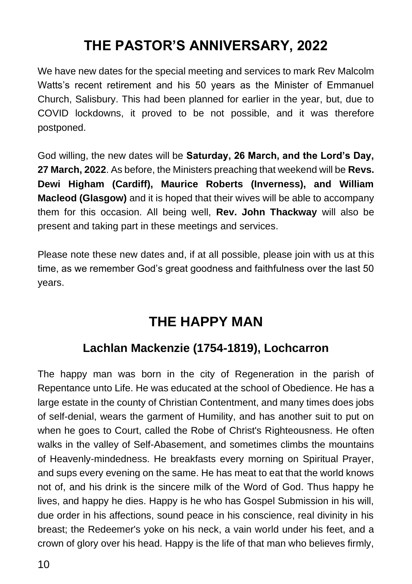## **THE PASTOR'S ANNIVERSARY, 2022**

We have new dates for the special meeting and services to mark Rev Malcolm Watts's recent retirement and his 50 years as the Minister of Emmanuel Church, Salisbury. This had been planned for earlier in the year, but, due to COVID lockdowns, it proved to be not possible, and it was therefore postponed.

God willing, the new dates will be **Saturday, 26 March, and the Lord's Day, 27 March, 2022**. As before, the Ministers preaching that weekend will be **Revs. Dewi Higham (Cardiff), Maurice Roberts (Inverness), and William Macleod (Glasgow)** and it is hoped that their wives will be able to accompany them for this occasion. All being well, **Rev. John Thackway** will also be present and taking part in these meetings and services.

Please note these new dates and, if at all possible, please join with us at this time, as we remember God's great goodness and faithfulness over the last 50 years.

### **THE HAPPY MAN**

### **Lachlan Mackenzie (1754-1819), Lochcarron**

The happy man was born in the city of Regeneration in the parish of Repentance unto Life. He was educated at the school of Obedience. He has a large estate in the county of Christian Contentment, and many times does jobs of self-denial, wears the garment of Humility, and has another suit to put on when he goes to Court, called the Robe of Christ's Righteousness. He often walks in the valley of Self-Abasement, and sometimes climbs the mountains of Heavenly-mindedness. He breakfasts every morning on Spiritual Prayer, and sups every evening on the same. He has meat to eat that the world knows not of, and his drink is the sincere milk of the Word of God. Thus happy he lives, and happy he dies. Happy is he who has Gospel Submission in his will, due order in his affections, sound peace in his conscience, real divinity in his breast; the Redeemer's yoke on his neck, a vain world under his feet, and a crown of glory over his head. Happy is the life of that man who believes firmly,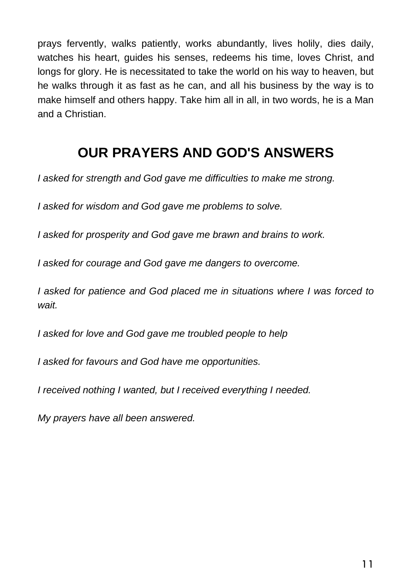prays fervently, walks patiently, works abundantly, lives holily, dies daily, watches his heart, guides his senses, redeems his time, loves Christ, and longs for glory. He is necessitated to take the world on his way to heaven, but he walks through it as fast as he can, and all his business by the way is to make himself and others happy. Take him all in all, in two words, he is a Man and a Christian.

### **OUR PRAYERS AND GOD'S ANSWERS**

*I asked for strength and God gave me difficulties to make me strong.*

*I asked for wisdom and God gave me problems to solve.*

*I asked for prosperity and God gave me brawn and brains to work.*

*I asked for courage and God gave me dangers to overcome.*

*I asked for patience and God placed me in situations where I was forced to wait.*

*I asked for love and God gave me troubled people to help*

*I asked for favours and God have me opportunities.*

*I received nothing I wanted, but I received everything I needed.*

*My prayers have all been answered.*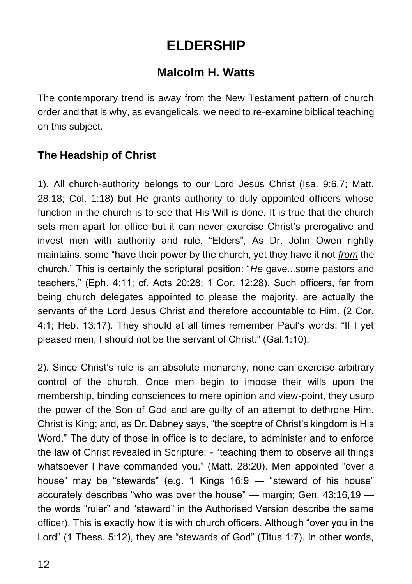## **ELDERSHIP**

### **Malcolm H. Watts**

The contemporary trend is away from the New Testament pattern of church order and that is why, as evangelicals, we need to re-examine biblical teaching on this subject.

#### **The Headship of Christ**

1). All church-authority belongs to our Lord Jesus Christ (Isa. 9:6,7; Matt. 28:18; Col. 1:18) but He grants authority to duly appointed officers whose function in the church is to see that His Will is done. It is true that the church sets men apart for office but it can never exercise Christ's prerogative and invest men with authority and rule. "Elders", As Dr. John Owen rightly maintains, some "have their power by the church, yet they have it not *from* the church." This is certainly the scriptural position: "*He* gave...some pastors and teachers," (Eph. 4:11; cf. Acts 20:28; 1 Cor. 12:28). Such officers, far from being church delegates appointed to please the majority, are actually the servants of the Lord Jesus Christ and therefore accountable to Him. (2 Cor. 4:1; Heb. 13:17). They should at all times remember Paul's words: "If I yet pleased men, I should not be the servant of Christ." (Gal.1:10).

2). Since Christ's rule is an absolute monarchy, none can exercise arbitrary control of the church. Once men begin to impose their wills upon the membership, binding consciences to mere opinion and view-point, they usurp the power of the Son of God and are guilty of an attempt to dethrone Him. Christ is King; and, as Dr. Dabney says, "the sceptre of Christ's kingdom is His Word." The duty of those in office is to declare, to administer and to enforce the law of Christ revealed in Scripture: - "teaching them to observe all things whatsoever I have commanded you." (Matt. 28:20). Men appointed "over a house" may be "stewards" (e.g. 1 Kings 16:9 — "steward of his house" accurately describes "who was over the house" — margin; Gen. 43:16,19 the words "ruler" and "steward" in the Authorised Version describe the same officer). This is exactly how it is with church officers. Although "over you in the Lord" (1 Thess. 5:12), they are "stewards of God" (Titus 1:7). In other words,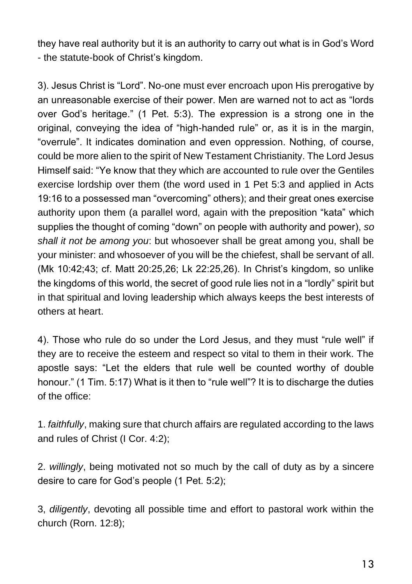they have real authority but it is an authority to carry out what is in God's Word - the statute-book of Christ's kingdom.

3). Jesus Christ is "Lord". No-one must ever encroach upon His prerogative by an unreasonable exercise of their power. Men are warned not to act as "lords over God's heritage." (1 Pet. 5:3). The expression is a strong one in the original, conveying the idea of "high-handed rule" or, as it is in the margin, "overrule". It indicates domination and even oppression. Nothing, of course, could be more alien to the spirit of New Testament Christianity. The Lord Jesus Himself said: "Ye know that they which are accounted to rule over the Gentiles exercise lordship over them (the word used in 1 Pet 5:3 and applied in Acts 19:16 to a possessed man "overcoming" others); and their great ones exercise authority upon them (a parallel word, again with the preposition "kata" which supplies the thought of coming "down" on people with authority and power), *so shall it not be among you*: but whosoever shall be great among you, shall be your minister: and whosoever of you will be the chiefest, shall be servant of all. (Mk 10:42;43; cf. Matt 20:25,26; Lk 22:25,26). In Christ's kingdom, so unlike the kingdoms of this world, the secret of good rule lies not in a "lordly" spirit but in that spiritual and loving leadership which always keeps the best interests of others at heart.

4). Those who rule do so under the Lord Jesus, and they must "rule well" if they are to receive the esteem and respect so vital to them in their work. The apostle says: "Let the elders that rule well be counted worthy of double honour." (1 Tim. 5:17) What is it then to "rule well"? It is to discharge the duties of the office:

1. *faithfully*, making sure that church affairs are regulated according to the laws and rules of Christ (I Cor. 4:2);

2. *willingly*, being motivated not so much by the call of duty as by a sincere desire to care for God's people (1 Pet. 5:2);

3, *diligently*, devoting all possible time and effort to pastoral work within the church (Rorn. 12:8);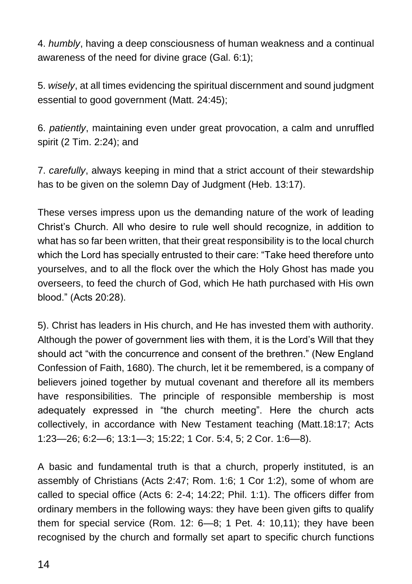4. *humbly*, having a deep consciousness of human weakness and a continual awareness of the need for divine grace (Gal. 6:1);

5. *wisely*, at all times evidencing the spiritual discernment and sound judgment essential to good government (Matt. 24:45);

6. *patiently*, maintaining even under great provocation, a calm and unruffled spirit (2 Tim. 2:24); and

7. *carefully*, always keeping in mind that a strict account of their stewardship has to be given on the solemn Day of Judgment (Heb. 13:17).

These verses impress upon us the demanding nature of the work of leading Christ's Church. All who desire to rule well should recognize, in addition to what has so far been written, that their great responsibility is to the local church which the Lord has specially entrusted to their care: "Take heed therefore unto yourselves, and to all the flock over the which the Holy Ghost has made you overseers, to feed the church of God, which He hath purchased with His own blood." (Acts 20:28).

5). Christ has leaders in His church, and He has invested them with authority. Although the power of government lies with them, it is the Lord's Will that they should act "with the concurrence and consent of the brethren." (New England Confession of Faith, 1680). The church, let it be remembered, is a company of believers joined together by mutual covenant and therefore all its members have responsibilities. The principle of responsible membership is most adequately expressed in "the church meeting". Here the church acts collectively, in accordance with New Testament teaching (Matt.18:17; Acts 1:23—26; 6:2—6; 13:1—3; 15:22; 1 Cor. 5:4, 5; 2 Cor. 1:6—8).

A basic and fundamental truth is that a church, properly instituted, is an assembly of Christians (Acts 2:47; Rom. 1:6; 1 Cor 1:2), some of whom are called to special office (Acts 6: 2-4; 14:22; Phil. 1:1). The officers differ from ordinary members in the following ways: they have been given gifts to qualify them for special service (Rom. 12: 6—8; 1 Pet. 4: 10,11); they have been recognised by the church and formally set apart to specific church functions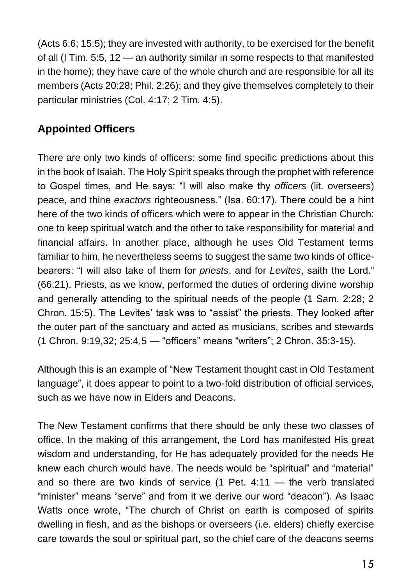(Acts 6:6; 15:5); they are invested with authority, to be exercised for the benefit of all (I Tim. 5:5, 12 — an authority similar in some respects to that manifested in the home); they have care of the whole church and are responsible for all its members (Acts 20:28; Phil. 2:26); and they give themselves completely to their particular ministries (Col. 4:17; 2 Tim. 4:5).

#### **Appointed Officers**

There are only two kinds of officers: some find specific predictions about this in the book of Isaiah. The Holy Spirit speaks through the prophet with reference to Gospel times, and He says: "I will also make thy *officers* (lit. overseers) peace, and thine *exactors* righteousness." (Isa. 60:17). There could be a hint here of the two kinds of officers which were to appear in the Christian Church: one to keep spiritual watch and the other to take responsibility for material and financial affairs. In another place, although he uses Old Testament terms familiar to him, he nevertheless seems to suggest the same two kinds of officebearers: "I will also take of them for *priests*, and for *Levites*, saith the Lord." (66:21). Priests, as we know, performed the duties of ordering divine worship and generally attending to the spiritual needs of the people (1 Sam. 2:28; 2 Chron. 15:5). The Levites' task was to "assist" the priests. They looked after the outer part of the sanctuary and acted as musicians, scribes and stewards (1 Chron. 9:19,32; 25:4,5 — "officers" means "writers"; 2 Chron. 35:3-15).

Although this is an example of "New Testament thought cast in Old Testament language", it does appear to point to a two-fold distribution of official services, such as we have now in Elders and Deacons.

The New Testament confirms that there should be only these two classes of office. In the making of this arrangement, the Lord has manifested His great wisdom and understanding, for He has adequately provided for the needs He knew each church would have. The needs would be "spiritual" and "material" and so there are two kinds of service (1 Pet. 4:11 — the verb translated "minister" means "serve" and from it we derive our word "deacon"). As Isaac Watts once wrote, "The church of Christ on earth is composed of spirits dwelling in flesh, and as the bishops or overseers (i.e. elders) chiefly exercise care towards the soul or spiritual part, so the chief care of the deacons seems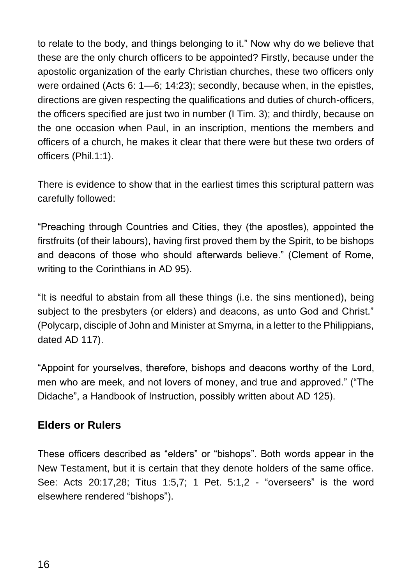to relate to the body, and things belonging to it." Now why do we believe that these are the only church officers to be appointed? Firstly, because under the apostolic organization of the early Christian churches, these two officers only were ordained (Acts 6: 1—6; 14:23); secondly, because when, in the epistles, directions are given respecting the qualifications and duties of church-officers, the officers specified are just two in number (I Tim. 3); and thirdly, because on the one occasion when Paul, in an inscription, mentions the members and officers of a church, he makes it clear that there were but these two orders of officers (Phil.1:1).

There is evidence to show that in the earliest times this scriptural pattern was carefully followed:

"Preaching through Countries and Cities, they (the apostles), appointed the firstfruits (of their labours), having first proved them by the Spirit, to be bishops and deacons of those who should afterwards believe." (Clement of Rome, writing to the Corinthians in AD 95).

"It is needful to abstain from all these things (i.e. the sins mentioned), being subject to the presbyters (or elders) and deacons, as unto God and Christ." (Polycarp, disciple of John and Minister at Smyrna, in a letter to the Philippians, dated AD 117).

"Appoint for yourselves, therefore, bishops and deacons worthy of the Lord, men who are meek, and not lovers of money, and true and approved." ("The Didache", a Handbook of Instruction, possibly written about AD 125).

#### **Elders or Rulers**

These officers described as "elders" or "bishops". Both words appear in the New Testament, but it is certain that they denote holders of the same office. See: Acts 20:17,28; Titus 1:5,7; 1 Pet. 5:1,2 - "overseers" is the word elsewhere rendered "bishops").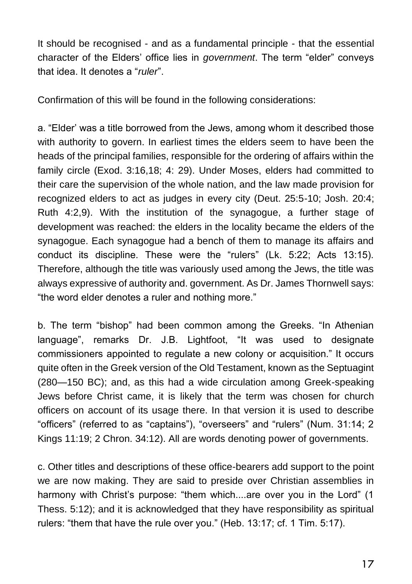It should be recognised - and as a fundamental principle - that the essential character of the Elders' office lies in *government*. The term "elder" conveys that idea. It denotes a "*ruler*".

Confirmation of this will be found in the following considerations:

a. "Elder' was a title borrowed from the Jews, among whom it described those with authority to govern. In earliest times the elders seem to have been the heads of the principal families, responsible for the ordering of affairs within the family circle (Exod. 3:16,18; 4: 29). Under Moses, elders had committed to their care the supervision of the whole nation, and the law made provision for recognized elders to act as judges in every city (Deut. 25:5-10; Josh. 20:4; Ruth 4:2,9). With the institution of the synagogue, a further stage of development was reached: the elders in the locality became the elders of the synagogue. Each synagogue had a bench of them to manage its affairs and conduct its discipline. These were the "rulers" (Lk. 5:22; Acts 13:15). Therefore, although the title was variously used among the Jews, the title was always expressive of authority and. government. As Dr. James Thornwell says: "the word elder denotes a ruler and nothing more."

b. The term "bishop" had been common among the Greeks. "In Athenian language", remarks Dr. J.B. Lightfoot, "It was used to designate commissioners appointed to regulate a new colony or acquisition." It occurs quite often in the Greek version of the Old Testament, known as the Septuagint (280—150 BC); and, as this had a wide circulation among Greek-speaking Jews before Christ came, it is likely that the term was chosen for church officers on account of its usage there. In that version it is used to describe "officers" (referred to as "captains"), "overseers" and "rulers" (Num. 31:14; 2 Kings 11:19; 2 Chron. 34:12). All are words denoting power of governments.

c. Other titles and descriptions of these office-bearers add support to the point we are now making. They are said to preside over Christian assemblies in harmony with Christ's purpose: "them which....are over you in the Lord" (1 Thess. 5:12); and it is acknowledged that they have responsibility as spiritual rulers: "them that have the rule over you." (Heb. 13:17; cf. 1 Tim. 5:17).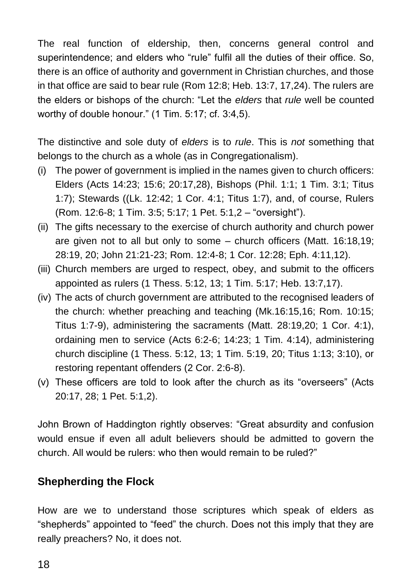The real function of eldership, then, concerns general control and superintendence; and elders who "rule" fulfil all the duties of their office. So, there is an office of authority and government in Christian churches, and those in that office are said to bear rule (Rom 12:8; Heb. 13:7, 17,24). The rulers are the elders or bishops of the church: "Let the *elders* that *rule* well be counted worthy of double honour." (1 Tim. 5:17; cf. 3:4,5).

The distinctive and sole duty of *elders* is to *rule*. This is *not* something that belongs to the church as a whole (as in Congregationalism).

- (i) The power of government is implied in the names given to church officers: Elders (Acts 14:23; 15:6; 20:17,28), Bishops (Phil. 1:1; 1 Tim. 3:1; Titus 1:7); Stewards ((Lk. 12:42; 1 Cor. 4:1; Titus 1:7), and, of course, Rulers (Rom. 12:6-8; 1 Tim. 3:5; 5:17; 1 Pet. 5:1,2 – "oversight").
- (ii) The gifts necessary to the exercise of church authority and church power are given not to all but only to some – church officers (Matt. 16:18,19; 28:19, 20; John 21:21-23; Rom. 12:4-8; 1 Cor. 12:28; Eph. 4:11,12).
- (iii) Church members are urged to respect, obey, and submit to the officers appointed as rulers (1 Thess. 5:12, 13; 1 Tim. 5:17; Heb. 13:7,17).
- (iv) The acts of church government are attributed to the recognised leaders of the church: whether preaching and teaching (Mk.16:15,16; Rom. 10:15; Titus 1:7-9), administering the sacraments (Matt. 28:19,20; 1 Cor. 4:1), ordaining men to service (Acts 6:2-6; 14:23; 1 Tim. 4:14), administering church discipline (1 Thess. 5:12, 13; 1 Tim. 5:19, 20; Titus 1:13; 3:10), or restoring repentant offenders (2 Cor. 2:6-8).
- (v) These officers are told to look after the church as its "overseers" (Acts 20:17, 28; 1 Pet. 5:1,2).

John Brown of Haddington rightly observes: "Great absurdity and confusion would ensue if even all adult believers should be admitted to govern the church. All would be rulers: who then would remain to be ruled?"

#### **Shepherding the Flock**

How are we to understand those scriptures which speak of elders as "shepherds" appointed to "feed" the church. Does not this imply that they are really preachers? No, it does not.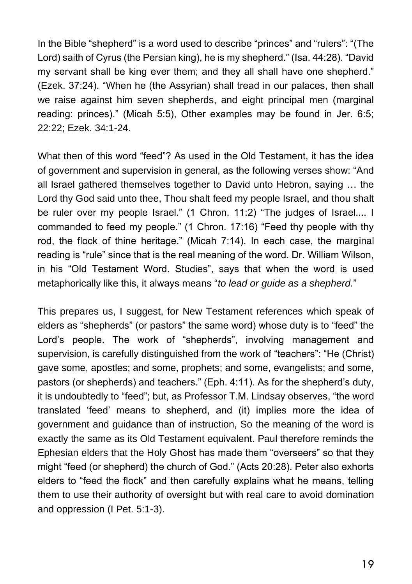In the Bible "shepherd" is a word used to describe "princes" and "rulers": "(The Lord) saith of Cyrus (the Persian king), he is my shepherd." (Isa. 44:28). "David my servant shall be king ever them; and they all shall have one shepherd." (Ezek. 37:24). "When he (the Assyrian) shall tread in our palaces, then shall we raise against him seven shepherds, and eight principal men (marginal reading: princes)." (Micah 5:5), Other examples may be found in Jer. 6:5; 22:22; Ezek. 34:1-24.

What then of this word "feed"? As used in the Old Testament, it has the idea of government and supervision in general, as the following verses show: "And all Israel gathered themselves together to David unto Hebron, saying … the Lord thy God said unto thee, Thou shalt feed my people Israel, and thou shalt be ruler over my people Israel." (1 Chron. 11:2) "The judges of Israel.... I commanded to feed my people." (1 Chron. 17:16) "Feed thy people with thy rod, the flock of thine heritage." (Micah 7:14). In each case, the marginal reading is "rule" since that is the real meaning of the word. Dr. William Wilson, in his "Old Testament Word. Studies", says that when the word is used metaphorically like this, it always means "*to lead or guide as a shepherd.*"

This prepares us, I suggest, for New Testament references which speak of elders as "shepherds" (or pastors" the same word) whose duty is to "feed" the Lord's people. The work of "shepherds", involving management and supervision, is carefully distinguished from the work of "teachers": "He (Christ) gave some, apostles; and some, prophets; and some, evangelists; and some, pastors (or shepherds) and teachers." (Eph. 4:11). As for the shepherd's duty, it is undoubtedly to "feed"; but, as Professor T.M. Lindsay observes, "the word translated 'feed' means to shepherd, and (it) implies more the idea of government and guidance than of instruction, So the meaning of the word is exactly the same as its Old Testament equivalent. Paul therefore reminds the Ephesian elders that the Holy Ghost has made them "overseers" so that they might "feed (or shepherd) the church of God." (Acts 20:28). Peter also exhorts elders to "feed the flock" and then carefully explains what he means, telling them to use their authority of oversight but with real care to avoid domination and oppression (I Pet. 5:1-3).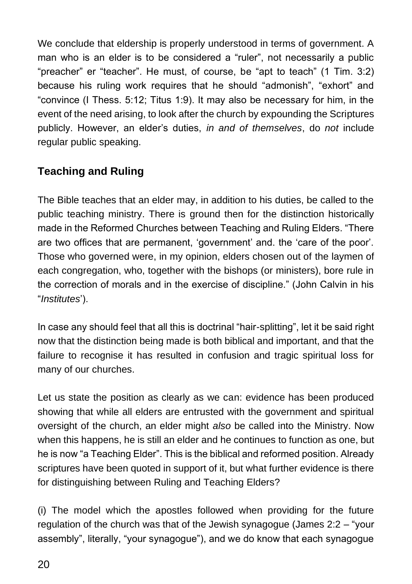We conclude that eldership is properly understood in terms of government. A man who is an elder is to be considered a "ruler", not necessarily a public "preacher" er "teacher". He must, of course, be "apt to teach" (1 Tim. 3:2) because his ruling work requires that he should "admonish", "exhort" and "convince (I Thess. 5:12; Titus 1:9). It may also be necessary for him, in the event of the need arising, to look after the church by expounding the Scriptures publicly. However, an elder's duties, *in and of themselves*, do *not* include regular public speaking.

#### **Teaching and Ruling**

The Bible teaches that an elder may, in addition to his duties, be called to the public teaching ministry. There is ground then for the distinction historically made in the Reformed Churches between Teaching and Ruling Elders. "There are two offices that are permanent, 'government' and. the 'care of the poor'. Those who governed were, in my opinion, elders chosen out of the laymen of each congregation, who, together with the bishops (or ministers), bore rule in the correction of morals and in the exercise of discipline." (John Calvin in his "*Institutes*').

In case any should feel that all this is doctrinal "hair-splitting", let it be said right now that the distinction being made is both biblical and important, and that the failure to recognise it has resulted in confusion and tragic spiritual loss for many of our churches.

Let us state the position as clearly as we can: evidence has been produced showing that while all elders are entrusted with the government and spiritual oversight of the church, an elder might *also* be called into the Ministry. Now when this happens, he is still an elder and he continues to function as one, but he is now "a Teaching Elder". This is the biblical and reformed position. Already scriptures have been quoted in support of it, but what further evidence is there for distinguishing between Ruling and Teaching Elders?

(i) The model which the apostles followed when providing for the future regulation of the church was that of the Jewish synagogue (James 2:2 – "your assembly", literally, "your synagogue"), and we do know that each synagogue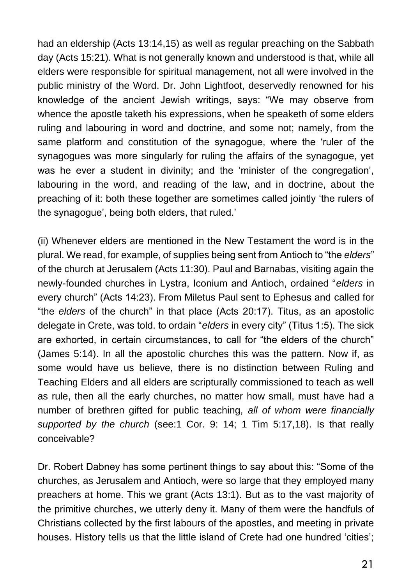had an eldership (Acts 13:14,15) as well as regular preaching on the Sabbath day (Acts 15:21). What is not generally known and understood is that, while all elders were responsible for spiritual management, not all were involved in the public ministry of the Word. Dr. John Lightfoot, deservedly renowned for his knowledge of the ancient Jewish writings, says: "We may observe from whence the apostle taketh his expressions, when he speaketh of some elders ruling and labouring in word and doctrine, and some not; namely, from the same platform and constitution of the synagogue, where the 'ruler of the synagogues was more singularly for ruling the affairs of the synagogue, yet was he ever a student in divinity; and the 'minister of the congregation', labouring in the word, and reading of the law, and in doctrine, about the preaching of it: both these together are sometimes called jointly 'the rulers of the synagogue', being both elders, that ruled.'

(ii) Whenever elders are mentioned in the New Testament the word is in the plural. We read, for example, of supplies being sent from Antioch to "the *elders*" of the church at Jerusalem (Acts 11:30). Paul and Barnabas, visiting again the newly-founded churches in Lystra, Iconium and Antioch, ordained "*elders* in every church" (Acts 14:23). From Miletus Paul sent to Ephesus and called for "the *elders* of the church" in that place (Acts 20:17). Titus, as an apostolic delegate in Crete, was told. to ordain "*elders* in every city" (Titus 1:5). The sick are exhorted, in certain circumstances, to call for "the elders of the church" (James 5:14). In all the apostolic churches this was the pattern. Now if, as some would have us believe, there is no distinction between Ruling and Teaching Elders and all elders are scripturally commissioned to teach as well as rule, then all the early churches, no matter how small, must have had a number of brethren gifted for public teaching, *all of whom were financially supported by the church* (see:1 Cor. 9: 14; 1 Tim 5:17,18). Is that really conceivable?

Dr. Robert Dabney has some pertinent things to say about this: "Some of the churches, as Jerusalem and Antioch, were so large that they employed many preachers at home. This we grant (Acts 13:1). But as to the vast majority of the primitive churches, we utterly deny it. Many of them were the handfuls of Christians collected by the first labours of the apostles, and meeting in private houses. History tells us that the little island of Crete had one hundred 'cities';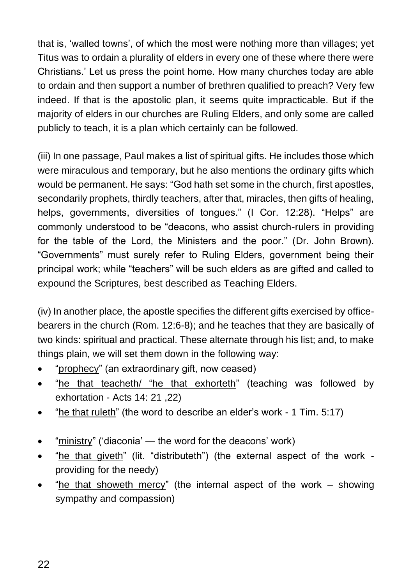that is, 'walled towns', of which the most were nothing more than villages; yet Titus was to ordain a plurality of elders in every one of these where there were Christians.' Let us press the point home. How many churches today are able to ordain and then support a number of brethren qualified to preach? Very few indeed. If that is the apostolic plan, it seems quite impracticable. But if the majority of elders in our churches are Ruling Elders, and only some are called publicly to teach, it is a plan which certainly can be followed.

(iii) In one passage, Paul makes a list of spiritual gifts. He includes those which were miraculous and temporary, but he also mentions the ordinary gifts which would be permanent. He says: "God hath set some in the church, first apostles, secondarily prophets, thirdly teachers, after that, miracles, then gifts of healing, helps, governments, diversities of tongues." (I Cor. 12:28). "Helps" are commonly understood to be "deacons, who assist church-rulers in providing for the table of the Lord, the Ministers and the poor." (Dr. John Brown). "Governments" must surely refer to Ruling Elders, government being their principal work; while "teachers" will be such elders as are gifted and called to expound the Scriptures, best described as Teaching Elders.

(iv) In another place, the apostle specifies the different gifts exercised by officebearers in the church (Rom. 12:6-8); and he teaches that they are basically of two kinds: spiritual and practical. These alternate through his list; and, to make things plain, we will set them down in the following way:

- "prophecy" (an extraordinary gift, now ceased)
- "he that teacheth/ "he that exhorteth" (teaching was followed by exhortation - Acts 14: 21 ,22)
- "he that ruleth" (the word to describe an elder's work 1 Tim. 5:17)
- "ministry" ('diaconia' the word for the deacons' work)
- "he that giveth" (lit. "distributeth") (the external aspect of the work providing for the needy)
- "he that showeth mercy" (the internal aspect of the work showing sympathy and compassion)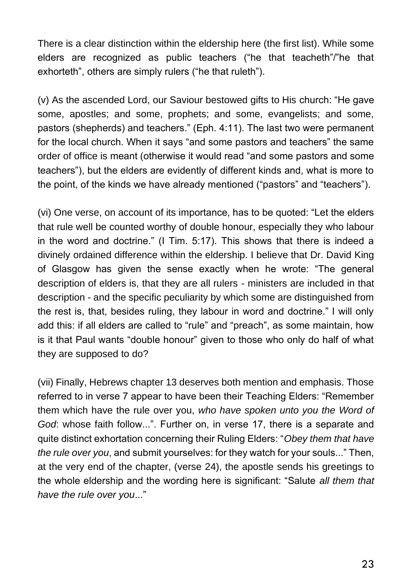There is a clear distinction within the eldership here (the first list). While some elders are recognized as public teachers ("he that teacheth"/"he that exhorteth", others are simply rulers ("he that ruleth").

(v) As the ascended Lord, our Saviour bestowed gifts to His church: "He gave some, apostles; and some, prophets; and some, evangelists; and some, pastors (shepherds) and teachers." (Eph. 4:11). The last two were permanent for the local church. When it says "and some pastors and teachers" the same order of office is meant (otherwise it would read "and some pastors and some teachers"), but the elders are evidently of different kinds and, what is more to the point, of the kinds we have already mentioned ("pastors" and "teachers").

(vi) One verse, on account of its importance, has to be quoted: "Let the elders that rule well be counted worthy of double honour, especially they who labour in the word and doctrine." (I Tim. 5:17). This shows that there is indeed a divinely ordained difference within the eldership. I believe that Dr. David King of Glasgow has given the sense exactly when he wrote: "The general description of elders is, that they are all rulers - ministers are included in that description - and the specific peculiarity by which some are distinguished from the rest is, that, besides ruling, they labour in word and doctrine." I will only add this: if all elders are called to "rule" and "preach", as some maintain, how is it that Paul wants "double honour" given to those who only do half of what they are supposed to do?

(vii) Finally, Hebrews chapter 13 deserves both mention and emphasis. Those referred to in verse 7 appear to have been their Teaching Elders: "Remember them which have the rule over you, *who have spoken unto you the Word of God*: whose faith follow...". Further on, in verse 17, there is a separate and quite distinct exhortation concerning their Ruling Elders: "*Obey them that have the rule over you*, and submit yourselves: for they watch for your souls..." Then, at the very end of the chapter, (verse 24), the apostle sends his greetings to the whole eldership and the wording here is significant: "Salute *all them that have the rule over you*..."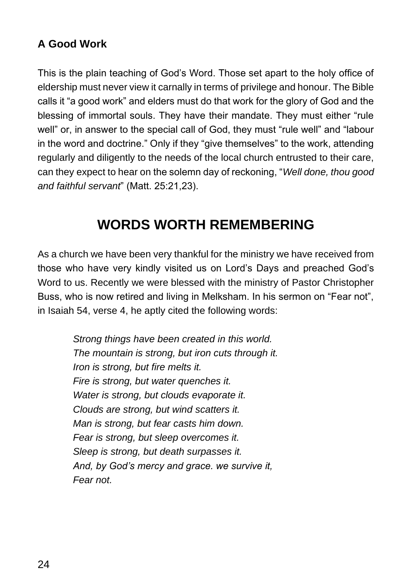#### **A Good Work**

This is the plain teaching of God's Word. Those set apart to the holy office of eldership must never view it carnally in terms of privilege and honour. The Bible calls it "a good work" and elders must do that work for the glory of God and the blessing of immortal souls. They have their mandate. They must either "rule well" or, in answer to the special call of God, they must "rule well" and "labour in the word and doctrine." Only if they "give themselves" to the work, attending regularly and diligently to the needs of the local church entrusted to their care, can they expect to hear on the solemn day of reckoning, "*Well done, thou good and faithful servant*" (Matt. 25:21,23).

### **WORDS WORTH REMEMBERING**

As a church we have been very thankful for the ministry we have received from those who have very kindly visited us on Lord's Days and preached God's Word to us. Recently we were blessed with the ministry of Pastor Christopher Buss, who is now retired and living in Melksham. In his sermon on "Fear not", in Isaiah 54, verse 4, he aptly cited the following words:

> *Strong things have been created in this world. The mountain is strong, but iron cuts through it. Iron is strong, but fire melts it. Fire is strong, but water quenches it. Water is strong, but clouds evaporate it. Clouds are strong, but wind scatters it. Man is strong, but fear casts him down. Fear is strong, but sleep overcomes it. Sleep is strong, but death surpasses it. And, by God's mercy and grace. we survive it, Fear not.*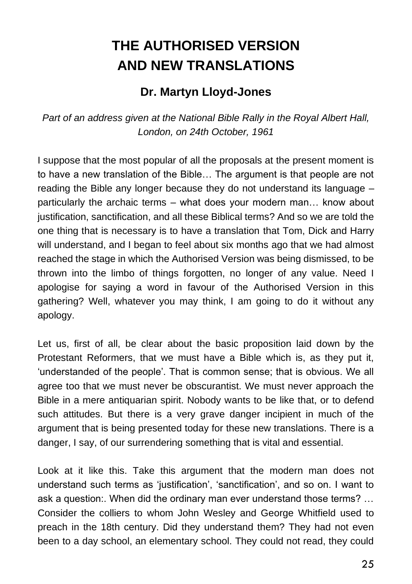## **THE AUTHORISED VERSION AND NEW TRANSLATIONS**

#### **Dr. Martyn Lloyd-Jones**

*Part of an address given at the National Bible Rally in the Royal Albert Hall, London, on 24th October, 1961*

I suppose that the most popular of all the proposals at the present moment is to have a new translation of the Bible… The argument is that people are not reading the Bible any longer because they do not understand its language – particularly the archaic terms – what does your modern man… know about justification, sanctification, and all these Biblical terms? And so we are told the one thing that is necessary is to have a translation that Tom, Dick and Harry will understand, and I began to feel about six months ago that we had almost reached the stage in which the Authorised Version was being dismissed, to be thrown into the limbo of things forgotten, no longer of any value. Need I apologise for saying a word in favour of the Authorised Version in this gathering? Well, whatever you may think, I am going to do it without any apology.

Let us, first of all, be clear about the basic proposition laid down by the Protestant Reformers, that we must have a Bible which is, as they put it, 'understanded of the people'. That is common sense; that is obvious. We all agree too that we must never be obscurantist. We must never approach the Bible in a mere antiquarian spirit. Nobody wants to be like that, or to defend such attitudes. But there is a very grave danger incipient in much of the argument that is being presented today for these new translations. There is a danger, I say, of our surrendering something that is vital and essential.

Look at it like this. Take this argument that the modern man does not understand such terms as 'justification', 'sanctification', and so on. I want to ask a question:. When did the ordinary man ever understand those terms? … Consider the colliers to whom John Wesley and George Whitfield used to preach in the 18th century. Did they understand them? They had not even been to a day school, an elementary school. They could not read, they could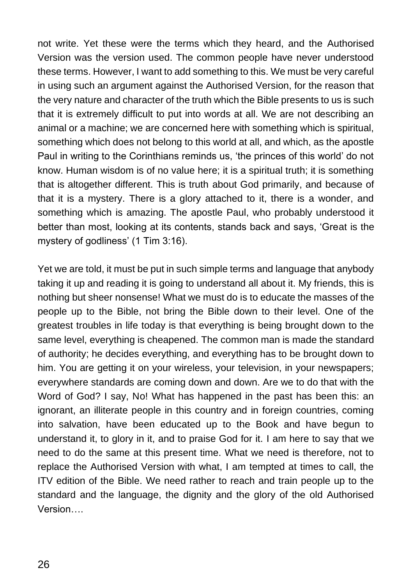not write. Yet these were the terms which they heard, and the Authorised Version was the version used. The common people have never understood these terms. However, I want to add something to this. We must be very careful in using such an argument against the Authorised Version, for the reason that the very nature and character of the truth which the Bible presents to us is such that it is extremely difficult to put into words at all. We are not describing an animal or a machine; we are concerned here with something which is spiritual, something which does not belong to this world at all, and which, as the apostle Paul in writing to the Corinthians reminds us, 'the princes of this world' do not know. Human wisdom is of no value here; it is a spiritual truth; it is something that is altogether different. This is truth about God primarily, and because of that it is a mystery. There is a glory attached to it, there is a wonder, and something which is amazing. The apostle Paul, who probably understood it better than most, looking at its contents, stands back and says, 'Great is the mystery of godliness' (1 Tim 3:16).

Yet we are told, it must be put in such simple terms and language that anybody taking it up and reading it is going to understand all about it. My friends, this is nothing but sheer nonsense! What we must do is to educate the masses of the people up to the Bible, not bring the Bible down to their level. One of the greatest troubles in life today is that everything is being brought down to the same level, everything is cheapened. The common man is made the standard of authority; he decides everything, and everything has to be brought down to him. You are getting it on your wireless, your television, in your newspapers; everywhere standards are coming down and down. Are we to do that with the Word of God? I say, No! What has happened in the past has been this: an ignorant, an illiterate people in this country and in foreign countries, coming into salvation, have been educated up to the Book and have begun to understand it, to glory in it, and to praise God for it. I am here to say that we need to do the same at this present time. What we need is therefore, not to replace the Authorised Version with what, I am tempted at times to call, the ITV edition of the Bible. We need rather to reach and train people up to the standard and the language, the dignity and the glory of the old Authorised Version….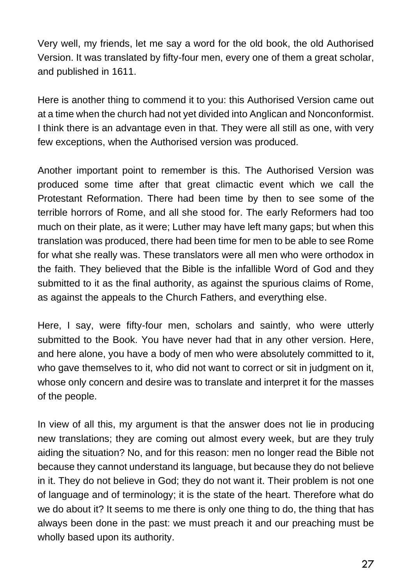Very well, my friends, let me say a word for the old book, the old Authorised Version. It was translated by fifty-four men, every one of them a great scholar, and published in 1611.

Here is another thing to commend it to you: this Authorised Version came out at a time when the church had not yet divided into Anglican and Nonconformist. I think there is an advantage even in that. They were all still as one, with very few exceptions, when the Authorised version was produced.

Another important point to remember is this. The Authorised Version was produced some time after that great climactic event which we call the Protestant Reformation. There had been time by then to see some of the terrible horrors of Rome, and all she stood for. The early Reformers had too much on their plate, as it were; Luther may have left many gaps; but when this translation was produced, there had been time for men to be able to see Rome for what she really was. These translators were all men who were orthodox in the faith. They believed that the Bible is the infallible Word of God and they submitted to it as the final authority, as against the spurious claims of Rome, as against the appeals to the Church Fathers, and everything else.

Here, I say, were fifty-four men, scholars and saintly, who were utterly submitted to the Book. You have never had that in any other version. Here, and here alone, you have a body of men who were absolutely committed to it, who gave themselves to it, who did not want to correct or sit in judgment on it, whose only concern and desire was to translate and interpret it for the masses of the people.

In view of all this, my argument is that the answer does not lie in producing new translations; they are coming out almost every week, but are they truly aiding the situation? No, and for this reason: men no longer read the Bible not because they cannot understand its language, but because they do not believe in it. They do not believe in God; they do not want it. Their problem is not one of language and of terminology; it is the state of the heart. Therefore what do we do about it? It seems to me there is only one thing to do, the thing that has always been done in the past: we must preach it and our preaching must be wholly based upon its authority.